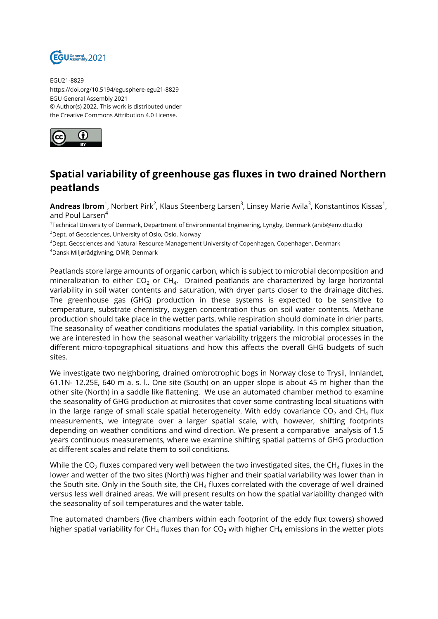

EGU21-8829 https://doi.org/10.5194/egusphere-egu21-8829 EGU General Assembly 2021 © Author(s) 2022. This work is distributed under the Creative Commons Attribution 4.0 License.



## **Spatial variability of greenhouse gas fluxes in two drained Northern peatlands**

**Andreas Ibrom**<sup>1</sup>, Norbert Pirk<sup>2</sup>, Klaus Steenberg Larsen<sup>3</sup>, Linsey Marie Avila<sup>3</sup>, Konstantinos Kissas<sup>1</sup>, and Poul Larsen<sup>4</sup>

1 Technical University of Denmark, Department of Environmental Engineering, Lyngby, Denmark (anib@env.dtu.dk) <sup>2</sup>Dept. of Geosciences, University of Oslo, Oslo, Norway

<sup>3</sup>Dept. Geosciences and Natural Resource Management University of Copenhagen, Copenhagen, Denmark

<sup>4</sup>Dansk Miljørådgivning, DMR, Denmark

Peatlands store large amounts of organic carbon, which is subject to microbial decomposition and mineralization to either CO $_2$  or CH $_4$ . Drained peatlands are characterized by large horizontal variability in soil water contents and saturation, with dryer parts closer to the drainage ditches. The greenhouse gas (GHG) production in these systems is expected to be sensitive to temperature, substrate chemistry, oxygen concentration thus on soil water contents. Methane production should take place in the wetter parts, while respiration should dominate in drier parts. The seasonality of weather conditions modulates the spatial variability. In this complex situation, we are interested in how the seasonal weather variability triggers the microbial processes in the different micro-topographical situations and how this affects the overall GHG budgets of such sites.

We investigate two neighboring, drained ombrotrophic bogs in Norway close to Trysil, Innlandet, 61.1N- 12.25E, 640 m a. s. l.. One site (South) on an upper slope is about 45 m higher than the other site (North) in a saddle like flattening. We use an automated chamber method to examine the seasonality of GHG production at microsites that cover some contrasting local situations with in the large range of small scale spatial heterogeneity. With eddy covariance CO<sub>2</sub> and CH<sub>4</sub> flux measurements, we integrate over a larger spatial scale, with, however, shifting footprints depending on weather conditions and wind direction. We present a comparative analysis of 1.5 years continuous measurements, where we examine shifting spatial patterns of GHG production at different scales and relate them to soil conditions.

While the CO $_2$  fluxes compared very well between the two investigated sites, the CH $_4$  fluxes in the lower and wetter of the two sites (North) was higher and their spatial variability was lower than in the South site. Only in the South site, the CH $_4$  fluxes correlated with the coverage of well drained versus less well drained areas. We will present results on how the spatial variability changed with the seasonality of soil temperatures and the water table.

The automated chambers (five chambers within each footprint of the eddy flux towers) showed higher spatial variability for CH $_4$  fluxes than for CO $_2$  with higher CH $_4$  emissions in the wetter plots